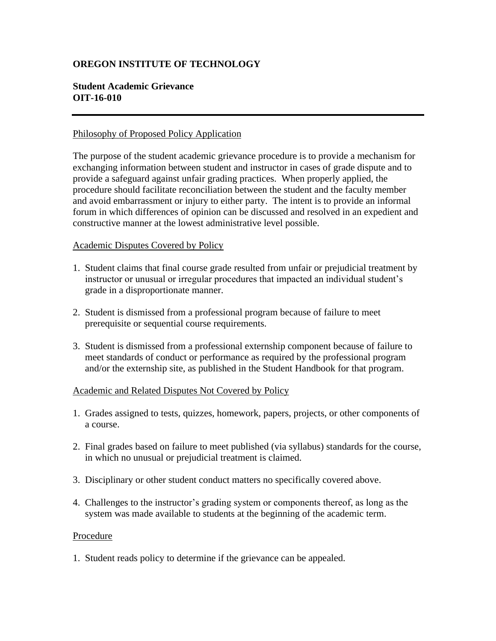# **OREGON INSTITUTE OF TECHNOLOGY**

## **Student Academic Grievance OIT-16-010**

#### Philosophy of Proposed Policy Application

The purpose of the student academic grievance procedure is to provide a mechanism for exchanging information between student and instructor in cases of grade dispute and to provide a safeguard against unfair grading practices. When properly applied, the procedure should facilitate reconciliation between the student and the faculty member and avoid embarrassment or injury to either party. The intent is to provide an informal forum in which differences of opinion can be discussed and resolved in an expedient and constructive manner at the lowest administrative level possible.

### Academic Disputes Covered by Policy

- 1. Student claims that final course grade resulted from unfair or prejudicial treatment by instructor or unusual or irregular procedures that impacted an individual student's grade in a disproportionate manner.
- 2. Student is dismissed from a professional program because of failure to meet prerequisite or sequential course requirements.
- 3. Student is dismissed from a professional externship component because of failure to meet standards of conduct or performance as required by the professional program and/or the externship site, as published in the Student Handbook for that program.

#### Academic and Related Disputes Not Covered by Policy

- 1. Grades assigned to tests, quizzes, homework, papers, projects, or other components of a course.
- 2. Final grades based on failure to meet published (via syllabus) standards for the course, in which no unusual or prejudicial treatment is claimed.
- 3. Disciplinary or other student conduct matters no specifically covered above.
- 4. Challenges to the instructor's grading system or components thereof, as long as the system was made available to students at the beginning of the academic term.

#### Procedure

1. Student reads policy to determine if the grievance can be appealed.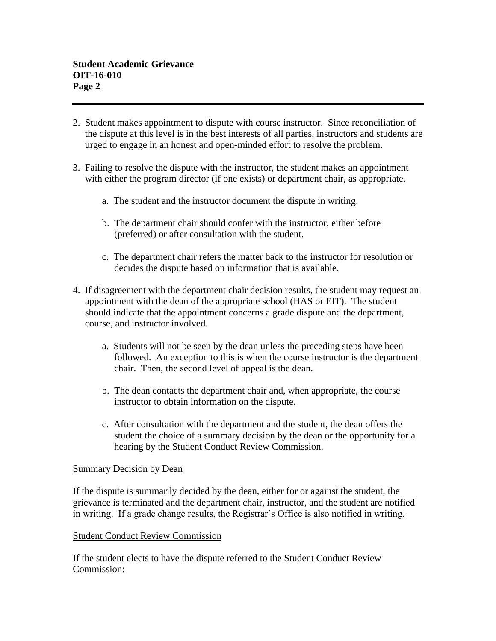- 2. Student makes appointment to dispute with course instructor. Since reconciliation of the dispute at this level is in the best interests of all parties, instructors and students are urged to engage in an honest and open-minded effort to resolve the problem.
- 3. Failing to resolve the dispute with the instructor, the student makes an appointment with either the program director (if one exists) or department chair, as appropriate.
	- a. The student and the instructor document the dispute in writing.
	- b. The department chair should confer with the instructor, either before (preferred) or after consultation with the student.
	- c. The department chair refers the matter back to the instructor for resolution or decides the dispute based on information that is available.
- 4. If disagreement with the department chair decision results, the student may request an appointment with the dean of the appropriate school (HAS or EIT). The student should indicate that the appointment concerns a grade dispute and the department, course, and instructor involved.
	- a. Students will not be seen by the dean unless the preceding steps have been followed. An exception to this is when the course instructor is the department chair. Then, the second level of appeal is the dean.
	- b. The dean contacts the department chair and, when appropriate, the course instructor to obtain information on the dispute.
	- c. After consultation with the department and the student, the dean offers the student the choice of a summary decision by the dean or the opportunity for a hearing by the Student Conduct Review Commission.

### Summary Decision by Dean

If the dispute is summarily decided by the dean, either for or against the student, the grievance is terminated and the department chair, instructor, and the student are notified in writing. If a grade change results, the Registrar's Office is also notified in writing.

### Student Conduct Review Commission

If the student elects to have the dispute referred to the Student Conduct Review Commission: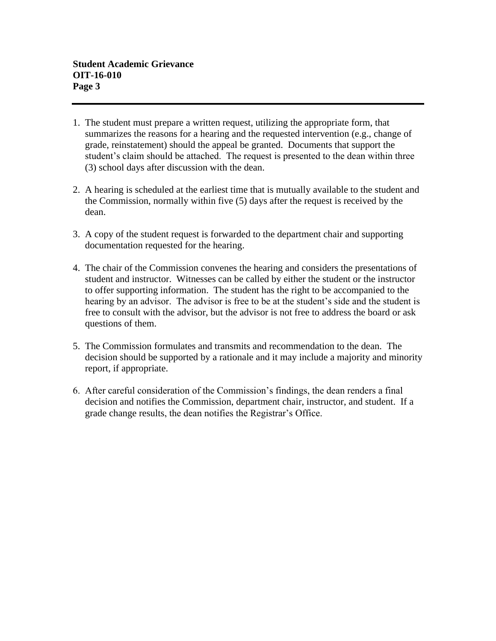- 1. The student must prepare a written request, utilizing the appropriate form, that summarizes the reasons for a hearing and the requested intervention (e.g., change of grade, reinstatement) should the appeal be granted. Documents that support the student's claim should be attached. The request is presented to the dean within three (3) school days after discussion with the dean.
- 2. A hearing is scheduled at the earliest time that is mutually available to the student and the Commission, normally within five (5) days after the request is received by the dean.
- 3. A copy of the student request is forwarded to the department chair and supporting documentation requested for the hearing.
- 4. The chair of the Commission convenes the hearing and considers the presentations of student and instructor. Witnesses can be called by either the student or the instructor to offer supporting information. The student has the right to be accompanied to the hearing by an advisor. The advisor is free to be at the student's side and the student is free to consult with the advisor, but the advisor is not free to address the board or ask questions of them.
- 5. The Commission formulates and transmits and recommendation to the dean. The decision should be supported by a rationale and it may include a majority and minority report, if appropriate.
- 6. After careful consideration of the Commission's findings, the dean renders a final decision and notifies the Commission, department chair, instructor, and student. If a grade change results, the dean notifies the Registrar's Office.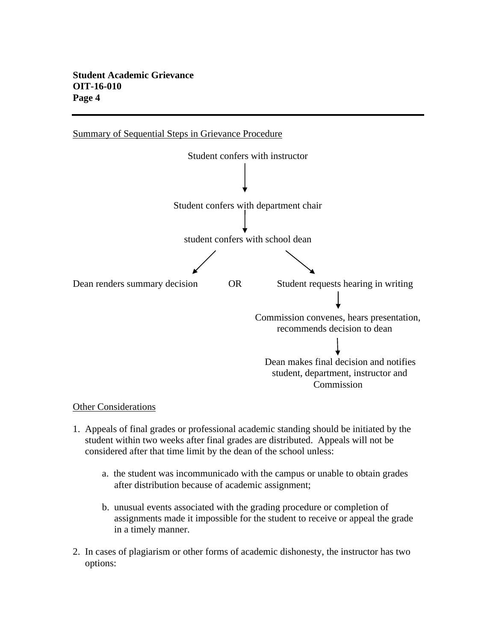# **Student Academic Grievance OIT-16-010 Page 4**



### Other Considerations

- 1. Appeals of final grades or professional academic standing should be initiated by the student within two weeks after final grades are distributed. Appeals will not be considered after that time limit by the dean of the school unless:
	- a. the student was incommunicado with the campus or unable to obtain grades after distribution because of academic assignment;
	- b. unusual events associated with the grading procedure or completion of assignments made it impossible for the student to receive or appeal the grade in a timely manner.
- 2. In cases of plagiarism or other forms of academic dishonesty, the instructor has two options: